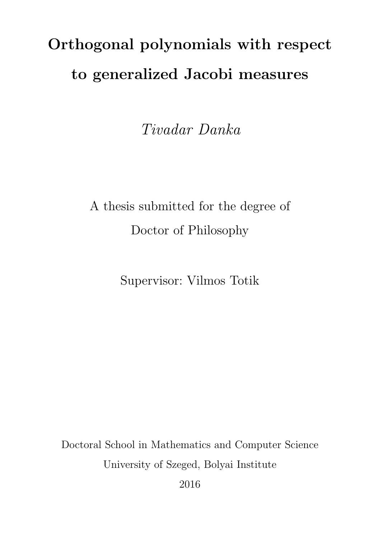## Orthogonal polynomials with respect to generalized Jacobi measures

Tivadar Danka

A thesis submitted for the degree of Doctor of Philosophy

Supervisor: Vilmos Totik

Doctoral School in Mathematics and Computer Science University of Szeged, Bolyai Institute

2016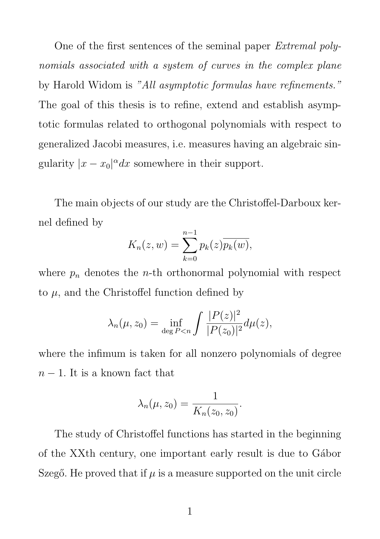One of the first sentences of the seminal paper Extremal polynomials associated with a system of curves in the complex plane by Harold Widom is "All asymptotic formulas have refinements." The goal of this thesis is to refine, extend and establish asymptotic formulas related to orthogonal polynomials with respect to generalized Jacobi measures, i.e. measures having an algebraic singularity  $|x - x_0|^{\alpha} dx$  somewhere in their support.

The main objects of our study are the Christoffel-Darboux kernel defined by

$$
K_n(z, w) = \sum_{k=0}^{n-1} p_k(z) \overline{p_k(w)},
$$

where  $p_n$  denotes the *n*-th orthonormal polynomial with respect to  $\mu$ , and the Christoffel function defined by

$$
\lambda_n(\mu, z_0) = \inf_{\deg P < n} \int \frac{|P(z)|^2}{|P(z_0)|^2} d\mu(z),
$$

where the infimum is taken for all nonzero polynomials of degree  $n-1$ . It is a known fact that

$$
\lambda_n(\mu, z_0) = \frac{1}{K_n(z_0, z_0)}.
$$

The study of Christoffel functions has started in the beginning of the XX<sup>th</sup> century, one important early result is due to Gábor Szegő. He proved that if  $\mu$  is a measure supported on the unit circle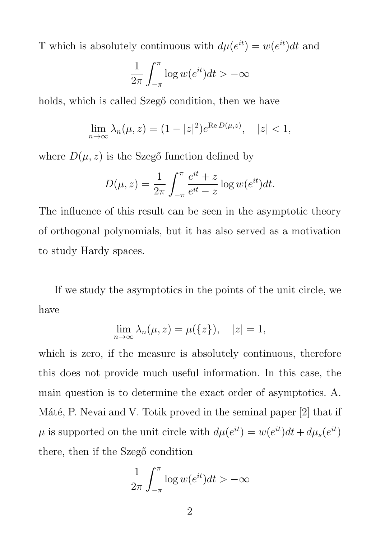T which is absolutely continuous with  $d\mu(e^{it}) = w(e^{it})dt$  and

$$
\frac{1}{2\pi} \int_{-\pi}^{\pi} \log w(e^{it}) dt > -\infty
$$

holds, which is called Szegő condition, then we have

$$
\lim_{n \to \infty} \lambda_n(\mu, z) = (1 - |z|^2) e^{\text{Re } D(\mu, z)}, \quad |z| < 1,
$$

where  $D(\mu, z)$  is the Szegő function defined by

$$
D(\mu, z) = \frac{1}{2\pi} \int_{-\pi}^{\pi} \frac{e^{it} + z}{e^{it} - z} \log w(e^{it}) dt.
$$

The influence of this result can be seen in the asymptotic theory of orthogonal polynomials, but it has also served as a motivation to study Hardy spaces.

If we study the asymptotics in the points of the unit circle, we have

$$
\lim_{n \to \infty} \lambda_n(\mu, z) = \mu(\{z\}), \quad |z| = 1,
$$

which is zero, if the measure is absolutely continuous, therefore this does not provide much useful information. In this case, the main question is to determine the exact order of asymptotics. A. Máté, P. Nevai and V. Totik proved in the seminal paper  $[2]$  that if  $\mu$  is supported on the unit circle with  $d\mu(e^{it}) = w(e^{it})dt + d\mu_s(e^{it})$ there, then if the Szegő condition

$$
\frac{1}{2\pi} \int_{-\pi}^{\pi} \log w(e^{it}) dt > -\infty
$$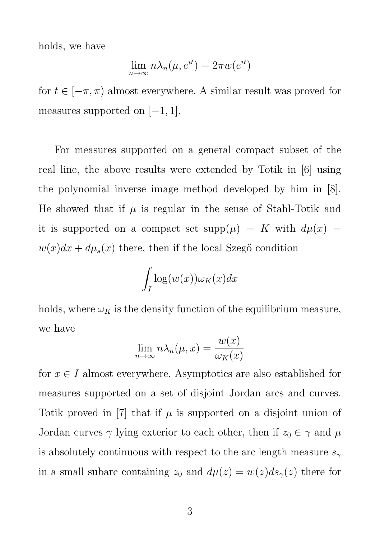holds, we have

$$
\lim_{n \to \infty} n \lambda_n(\mu, e^{it}) = 2\pi w(e^{it})
$$

for  $t \in [-\pi, \pi)$  almost everywhere. A similar result was proved for measures supported on  $[-1, 1]$ .

For measures supported on a general compact subset of the real line, the above results were extended by Totik in [6] using the polynomial inverse image method developed by him in [8]. He showed that if  $\mu$  is regular in the sense of Stahl-Totik and it is supported on a compact set  $supp(\mu) = K$  with  $d\mu(x) =$  $w(x)dx + d\mu_s(x)$  there, then if the local Szegő condition

$$
\int_I \log(w(x)) \omega_K(x) dx
$$

holds, where  $\omega_K$  is the density function of the equilibrium measure, we have

$$
\lim_{n \to \infty} n \lambda_n(\mu, x) = \frac{w(x)}{\omega_K(x)}
$$

for  $x \in I$  almost everywhere. Asymptotics are also established for measures supported on a set of disjoint Jordan arcs and curves. Totik proved in [7] that if  $\mu$  is supported on a disjoint union of Jordan curves  $\gamma$  lying exterior to each other, then if  $z_0 \in \gamma$  and  $\mu$ is absolutely continuous with respect to the arc length measure  $s_{\gamma}$ in a small subarc containing  $z_0$  and  $d\mu(z) = w(z)ds_{\gamma}(z)$  there for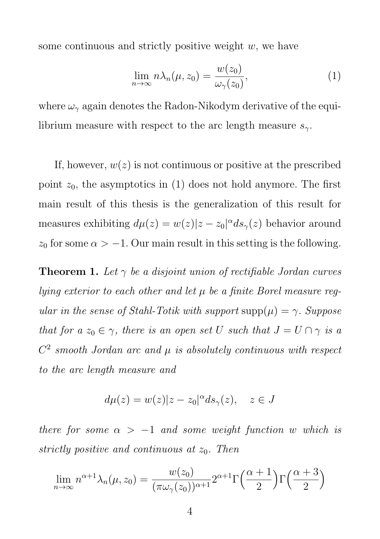some continuous and strictly positive weight  $w$ , we have

$$
\lim_{n \to \infty} n \lambda_n(\mu, z_0) = \frac{w(z_0)}{\omega_\gamma(z_0)},\tag{1}
$$

where  $\omega_{\gamma}$  again denotes the Radon-Nikodym derivative of the equilibrium measure with respect to the arc length measure  $s_{\gamma}$ .

If, however,  $w(z)$  is not continuous or positive at the prescribed point  $z_0$ , the asymptotics in (1) does not hold anymore. The first main result of this thesis is the generalization of this result for measures exhibiting  $d\mu(z) = w(z)|z - z_0|^{\alpha} ds_{\gamma}(z)$  behavior around  $z_0$  for some  $\alpha > -1$ . Our main result in this setting is the following.

**Theorem 1.** Let  $\gamma$  be a disjoint union of rectifiable Jordan curves lying exterior to each other and let  $\mu$  be a finite Borel measure reqular in the sense of Stahl-Totik with support  $supp(\mu) = \gamma$ . Suppose that for a  $z_0 \in \gamma$ , there is an open set U such that  $J = U \cap \gamma$  is a  $C<sup>2</sup>$  smooth Jordan arc and  $\mu$  is absolutely continuous with respect to the arc length measure and

$$
d\mu(z) = w(z)|z - z_0|^{\alpha} ds_{\gamma}(z), \quad z \in J
$$

there for some  $\alpha > -1$  and some weight function w which is strictly positive and continuous at  $z_0$ . Then

$$
\lim_{n \to \infty} n^{\alpha+1} \lambda_n(\mu, z_0) = \frac{w(z_0)}{(\pi \omega_\gamma(z_0))^{\alpha+1}} 2^{\alpha+1} \Gamma\left(\frac{\alpha+1}{2}\right) \Gamma\left(\frac{\alpha+3}{2}\right)
$$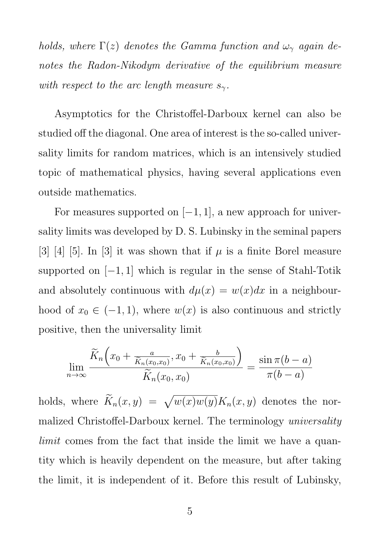holds, where  $\Gamma(z)$  denotes the Gamma function and  $\omega_{\gamma}$  again denotes the Radon-Nikodym derivative of the equilibrium measure with respect to the arc length measure  $s_{\gamma}$ .

Asymptotics for the Christoffel-Darboux kernel can also be studied off the diagonal. One area of interest is the so-called universality limits for random matrices, which is an intensively studied topic of mathematical physics, having several applications even outside mathematics.

For measures supported on  $[-1, 1]$ , a new approach for universality limits was developed by D. S. Lubinsky in the seminal papers [3] [4] [5]. In [3] it was shown that if  $\mu$  is a finite Borel measure supported on  $[-1, 1]$  which is regular in the sense of Stahl-Totik and absolutely continuous with  $d\mu(x) = w(x)dx$  in a neighbourhood of  $x_0 \in (-1, 1)$ , where  $w(x)$  is also continuous and strictly positive, then the universality limit

$$
\lim_{n\to\infty}\frac{\widetilde{K}_n\left(x_0+\frac{a}{\widetilde{K}_n(x_0,x_0)},x_0+\frac{b}{\widetilde{K}_n(x_0,x_0)}\right)}{\widetilde{K}_n(x_0,x_0)}=\frac{\sin\pi(b-a)}{\pi(b-a)}
$$

holds, where  $\widetilde{K}_n(x, y) = \sqrt{w(x)w(y)}K_n(x, y)$  denotes the normalized Christoffel-Darboux kernel. The terminology universality limit comes from the fact that inside the limit we have a quantity which is heavily dependent on the measure, but after taking the limit, it is independent of it. Before this result of Lubinsky,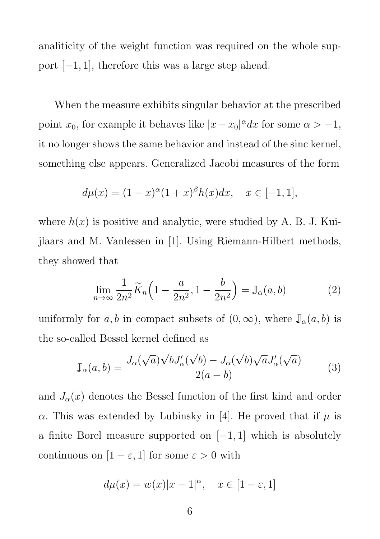analiticity of the weight function was required on the whole support  $[-1, 1]$ , therefore this was a large step ahead.

When the measure exhibits singular behavior at the prescribed point  $x_0$ , for example it behaves like  $|x-x_0|^\alpha dx$  for some  $\alpha > -1$ , it no longer shows the same behavior and instead of the sinc kernel, something else appears. Generalized Jacobi measures of the form

$$
d\mu(x) = (1 - x)^{\alpha} (1 + x)^{\beta} h(x) dx, \quad x \in [-1, 1],
$$

where  $h(x)$  is positive and analytic, were studied by A. B. J. Kuijlaars and M. Vanlessen in [1]. Using Riemann-Hilbert methods, they showed that

$$
\lim_{n \to \infty} \frac{1}{2n^2} \widetilde{K}_n \left( 1 - \frac{a}{2n^2}, 1 - \frac{b}{2n^2} \right) = \mathbb{J}_\alpha(a, b)
$$
 (2)

uniformly for a, b in compact subsets of  $(0, \infty)$ , where  $\mathbb{J}_{\alpha}(a, b)$  is the so-called Bessel kernel defined as

$$
\mathbb{J}_{\alpha}(a,b) = \frac{J_{\alpha}(\sqrt{a})\sqrt{b}J'_{\alpha}(\sqrt{b}) - J_{\alpha}(\sqrt{b})\sqrt{a}J'_{\alpha}(\sqrt{a})}{2(a-b)}
$$
(3)

and  $J_{\alpha}(x)$  denotes the Bessel function of the first kind and order α. This was extended by Lubinsky in [4]. He proved that if  $\mu$  is a finite Borel measure supported on  $[-1, 1]$  which is absolutely continuous on  $[1 - \varepsilon, 1]$  for some  $\varepsilon > 0$  with

$$
d\mu(x) = w(x)|x - 1|^{\alpha}, \quad x \in [1 - \varepsilon, 1]
$$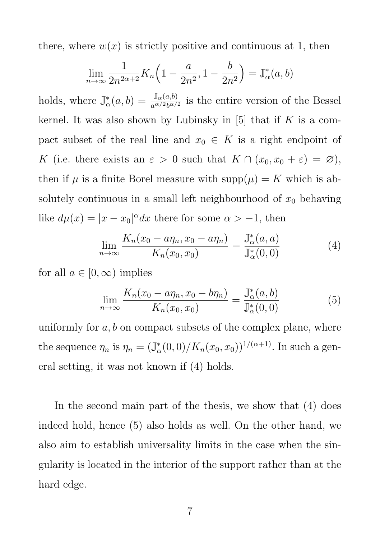there, where  $w(x)$  is strictly positive and continuous at 1, then

$$
\lim_{n \to \infty} \frac{1}{2n^{2\alpha+2}} K_n \left( 1 - \frac{a}{2n^2}, 1 - \frac{b}{2n^2} \right) = \mathbb{J}_{\alpha}^*(a, b)
$$

holds, where  $\mathbb{J}_{\alpha}^{*}(a,b) = \frac{\mathbb{J}_{\alpha}(a,b)}{a^{\alpha/2}b^{\alpha/2}}$  is the entire version of the Bessel kernel. It was also shown by Lubinsky in  $[5]$  that if K is a compact subset of the real line and  $x_0 \in K$  is a right endpoint of K (i.e. there exists an  $\varepsilon > 0$  such that  $K \cap (x_0, x_0 + \varepsilon) = \varnothing$ ), then if  $\mu$  is a finite Borel measure with  $\text{supp}(\mu) = K$  which is absolutely continuous in a small left neighbourhood of  $x_0$  behaving like  $d\mu(x) = |x - x_0|^{\alpha} dx$  there for some  $\alpha > -1$ , then

$$
\lim_{n \to \infty} \frac{K_n(x_0 - a\eta_n, x_0 - a\eta_n)}{K_n(x_0, x_0)} = \frac{\mathbb{J}^*_{\alpha}(a, a)}{\mathbb{J}^*_{\alpha}(0, 0)} \tag{4}
$$

for all  $a \in [0, \infty)$  implies

$$
\lim_{n \to \infty} \frac{K_n(x_0 - a\eta_n, x_0 - b\eta_n)}{K_n(x_0, x_0)} = \frac{\mathbb{J}^*_{\alpha}(a, b)}{\mathbb{J}^*_{\alpha}(0, 0)}
$$
(5)

uniformly for  $a, b$  on compact subsets of the complex plane, where the sequence  $\eta_n$  is  $\eta_n = (\mathbb{J}^*_{\alpha}(0,0)/K_n(x_0,x_0))^{1/(\alpha+1)}$ . In such a general setting, it was not known if (4) holds.

In the second main part of the thesis, we show that (4) does indeed hold, hence (5) also holds as well. On the other hand, we also aim to establish universality limits in the case when the singularity is located in the interior of the support rather than at the hard edge.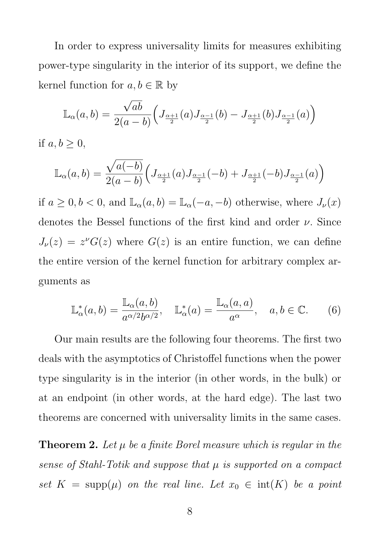In order to express universality limits for measures exhibiting power-type singularity in the interior of its support, we define the kernel function for  $a, b \in \mathbb{R}$  by

$$
\mathbb{L}_{\alpha}(a,b) = \frac{\sqrt{ab}}{2(a-b)} \Big( J_{\frac{\alpha+1}{2}}(a) J_{\frac{\alpha-1}{2}}(b) - J_{\frac{\alpha+1}{2}}(b) J_{\frac{\alpha-1}{2}}(a) \Big)
$$

if  $a, b > 0$ ,

$$
\mathbb{L}_{\alpha}(a,b) = \frac{\sqrt{a(-b)}}{2(a-b)} \Big( J_{\frac{\alpha+1}{2}}(a) J_{\frac{\alpha-1}{2}}(-b) + J_{\frac{\alpha+1}{2}}(-b) J_{\frac{\alpha-1}{2}}(a) \Big)
$$

if  $a \geq 0, b < 0$ , and  $\mathbb{L}_{\alpha}(a, b) = \mathbb{L}_{\alpha}(-a, -b)$  otherwise, where  $J_{\nu}(x)$ denotes the Bessel functions of the first kind and order  $\nu$ . Since  $J_{\nu}(z) = z^{\nu}G(z)$  where  $G(z)$  is an entire function, we can define the entire version of the kernel function for arbitrary complex arguments as

$$
\mathbb{L}_{\alpha}^*(a,b) = \frac{\mathbb{L}_{\alpha}(a,b)}{a^{\alpha/2}b^{\alpha/2}}, \quad \mathbb{L}_{\alpha}^*(a) = \frac{\mathbb{L}_{\alpha}(a,a)}{a^{\alpha}}, \quad a,b \in \mathbb{C}.
$$
 (6)

Our main results are the following four theorems. The first two deals with the asymptotics of Christoffel functions when the power type singularity is in the interior (in other words, in the bulk) or at an endpoint (in other words, at the hard edge). The last two theorems are concerned with universality limits in the same cases.

**Theorem 2.** Let  $\mu$  be a finite Borel measure which is regular in the sense of Stahl-Totik and suppose that  $\mu$  is supported on a compact set  $K = \text{supp}(\mu)$  on the real line. Let  $x_0 \in \text{int}(K)$  be a point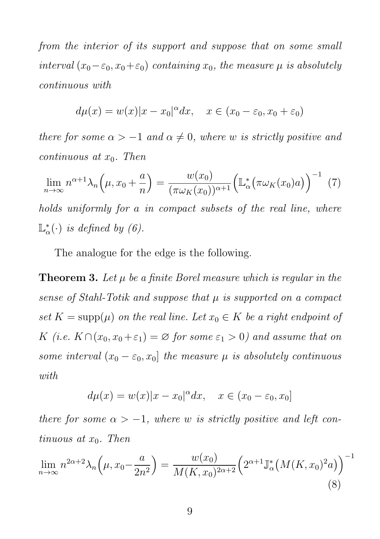from the interior of its support and suppose that on some small interval  $(x_0-\varepsilon_0, x_0+\varepsilon_0)$  containing  $x_0$ , the measure  $\mu$  is absolutely continuous with

$$
d\mu(x) = w(x)|x - x_0|^{\alpha} dx, \quad x \in (x_0 - \varepsilon_0, x_0 + \varepsilon_0)
$$

there for some  $\alpha > -1$  and  $\alpha \neq 0$ , where w is strictly positive and continuous at  $x_0$ . Then

$$
\lim_{n \to \infty} n^{\alpha+1} \lambda_n \left(\mu, x_0 + \frac{a}{n}\right) = \frac{w(x_0)}{(\pi \omega_K(x_0))^{\alpha+1}} \left(\mathbb{L}^*_{\alpha} \left(\pi \omega_K(x_0) a\right)\right)^{-1} (7)
$$

holds uniformly for a in compact subsets of the real line, where  $\mathbb{L}^*_{\alpha}(\cdot)$  is defined by (6).

The analogue for the edge is the following.

**Theorem 3.** Let  $\mu$  be a finite Borel measure which is regular in the sense of Stahl-Totik and suppose that  $\mu$  is supported on a compact set  $K = \text{supp}(\mu)$  on the real line. Let  $x_0 \in K$  be a right endpoint of K (i.e.  $K \cap (x_0, x_0 + \varepsilon_1) = \emptyset$  for some  $\varepsilon_1 > 0$ ) and assume that on some interval  $(x_0 - \varepsilon_0, x_0]$  the measure  $\mu$  is absolutely continuous with

$$
d\mu(x) = w(x)|x - x_0|^{\alpha} dx, \quad x \in (x_0 - \varepsilon_0, x_0]
$$

there for some  $\alpha > -1$ , where w is strictly positive and left continuous at  $x_0$ . Then

$$
\lim_{n \to \infty} n^{2\alpha+2} \lambda_n \left(\mu, x_0 - \frac{a}{2n^2}\right) = \frac{w(x_0)}{M(K, x_0)^{2\alpha+2}} \left(2^{\alpha+1} \mathbb{J}^*_{\alpha}\left(M(K, x_0)^2 a\right)\right)^{-1}
$$
\n(8)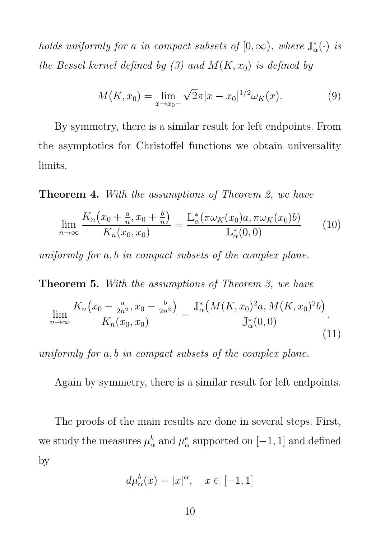holds uniformly for a in compact subsets of  $[0, \infty)$ , where  $\mathbb{J}_{\alpha}^*(\cdot)$  is the Bessel kernel defined by (3) and  $M(K, x_0)$  is defined by

$$
M(K, x_0) = \lim_{x \to x_0-} \sqrt{2}\pi |x - x_0|^{1/2} \omega_K(x).
$$
 (9)

By symmetry, there is a similar result for left endpoints. From the asymptotics for Christoffel functions we obtain universality limits.

Theorem 4. With the assumptions of Theorem 2, we have

$$
\lim_{n \to \infty} \frac{K_n(x_0 + \frac{a}{n}, x_0 + \frac{b}{n})}{K_n(x_0, x_0)} = \frac{\mathbb{L}^*_\alpha(\pi \omega_K(x_0) a, \pi \omega_K(x_0) b)}{\mathbb{L}^*_\alpha(0, 0)} \tag{10}
$$

uniformly for a, b in compact subsets of the complex plane.

Theorem 5. With the assumptions of Theorem 3, we have

$$
\lim_{n \to \infty} \frac{K_n(x_0 - \frac{a}{2n^2}, x_0 - \frac{b}{2n^2})}{K_n(x_0, x_0)} = \frac{\mathbb{J}^*_{\alpha}(M(K, x_0)^2 a, M(K, x_0)^2 b)}{\mathbb{J}^*_{\alpha}(0, 0)}.
$$
\n(11)

uniformly for a, b in compact subsets of the complex plane.

Again by symmetry, there is a similar result for left endpoints.

The proofs of the main results are done in several steps. First, we study the measures  $\mu^b_\alpha$  and  $\mu^e_\alpha$  supported on  $[-1, 1]$  and defined by

$$
d\mu_{\alpha}^{b}(x) = |x|^{\alpha}, \quad x \in [-1, 1]
$$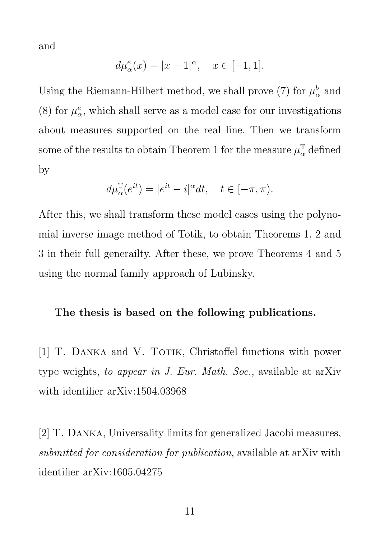and

$$
d\mu_{\alpha}^{e}(x) = |x - 1|^{\alpha}, \quad x \in [-1, 1].
$$

Using the Riemann-Hilbert method, we shall prove (7) for  $\mu^b_\alpha$  and (8) for  $\mu^e_{\alpha}$ , which shall serve as a model case for our investigations about measures supported on the real line. Then we transform some of the results to obtain Theorem 1 for the measure  $\mu_{\alpha}^{\mathbb{T}}$  defined by

$$
d\mu^{\mathbb{T}}_{\alpha}(e^{it})=|e^{it}-i|^{\alpha}dt,\quad t\in[-\pi,\pi).
$$

After this, we shall transform these model cases using the polynomial inverse image method of Totik, to obtain Theorems 1, 2 and 3 in their full generailty. After these, we prove Theorems 4 and 5 using the normal family approach of Lubinsky.

## The thesis is based on the following publications.

[1] T. DANKA and V. TOTIK, Christoffel functions with power type weights, to appear in J. Eur. Math. Soc., available at arXiv with identifier arXiv:1504.03968

[2] T. Danka, Universality limits for generalized Jacobi measures, submitted for consideration for publication, available at arXiv with identifier arXiv:1605.04275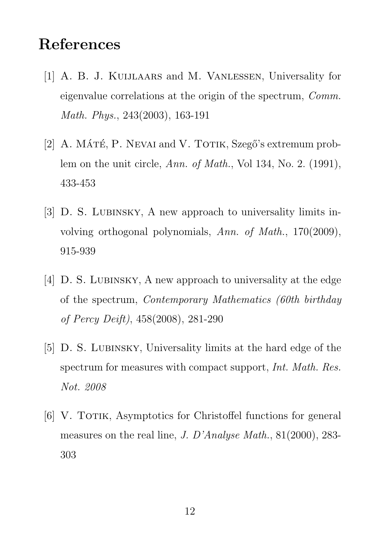## References

- [1] A. B. J. Kuijlaars and M. Vanlessen, Universality for eigenvalue correlations at the origin of the spectrum, Comm. Math. Phys., 243(2003), 163-191
- [2] A. MÁTÉ, P. NEVAI and V. TOTIK, Szegő's extremum problem on the unit circle, Ann. of Math., Vol 134, No. 2. (1991), 433-453
- [3] D. S. LUBINSKY, A new approach to universality limits involving orthogonal polynomials, Ann. of Math., 170(2009), 915-939
- [4] D. S. LUBINSKY, A new approach to universality at the edge of the spectrum, Contemporary Mathematics (60th birthday of Percy Deift), 458(2008), 281-290
- [5] D. S. Lubinsky, Universality limits at the hard edge of the spectrum for measures with compact support, *Int. Math. Res.* Not. 2008
- [6] V. TOTIK, Asymptotics for Christoffel functions for general measures on the real line, J. D'Analyse Math., 81(2000), 283- 303